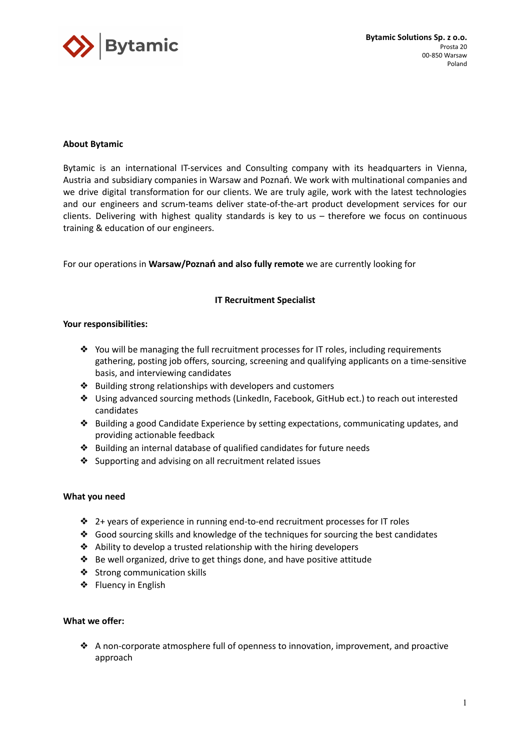

# **About Bytamic**

Bytamic is an international IT-services and Consulting company with its headquarters in Vienna, Austria and subsidiary companies in Warsaw and Poznań. We work with multinational companies and we drive digital transformation for our clients. We are truly agile, work with the latest technologies and our engineers and scrum-teams deliver state-of-the-art product development services for our clients. Delivering with highest quality standards is key to us – therefore we focus on continuous training & education of our engineers.

For our operations in **Warsaw/Poznań and also fully remote** we are currently looking for

# **IT Recruitment Specialist**

### **Your responsibilities:**

- ❖ You will be managing the full recruitment processes for IT roles, including requirements gathering, posting job offers, sourcing, screening and qualifying applicants on a time-sensitive basis, and interviewing candidates
- ❖ Building strong relationships with developers and customers
- ❖ Using advanced sourcing methods (LinkedIn, Facebook, GitHub ect.) to reach out interested candidates
- ❖ Building a good Candidate Experience by setting expectations, communicating updates, and providing actionable feedback
- ❖ Building an internal database of qualified candidates for future needs
- ❖ Supporting and advising on all recruitment related issues

### **What you need**

- $\div$  2+ years of experience in running end-to-end recruitment processes for IT roles
- ❖ Good sourcing skills and knowledge of the techniques for sourcing the best candidates
- ❖ Ability to develop a trusted relationship with the hiring developers
- ❖ Be well organized, drive to get things done, and have positive attitude
- ❖ Strong communication skills
- ❖ Fluency in English

### **What we offer:**

❖ A non-corporate atmosphere full of openness to innovation, improvement, and proactive approach